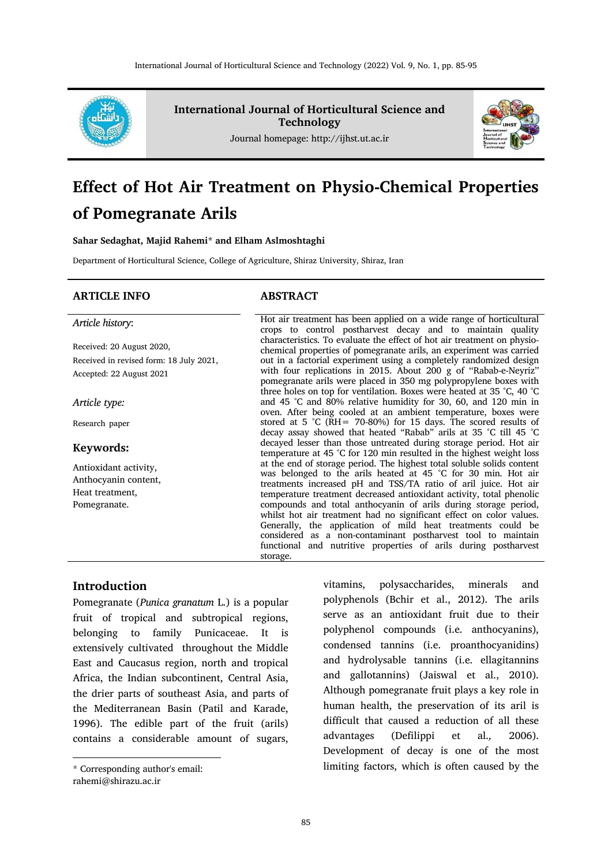

**International Journal of Horticultural Science and Technology**

Journal homepage: http://ijhst.ut.ac.ir



# **Effect of Hot Air Treatment on Physio-Chemical Properties of Pomegranate Arils**

**Sahar Sedaghat, Majid Rahemi\* and Elham Aslmoshtaghi**

Department of Horticultural Science, College of Agriculture, Shiraz University, Shiraz, Iran

#### **ARTICLE INFO ABSTRACT**

#### *Article history*:

Received: 20 August 2020, Received in revised form: 18 July 2021, Accepted: 22 August 2021

*Article type:*

Research paper

#### **Keywords:**

Antioxidant activity, Anthocyanin content, Heat treatment, Pomegranate.

Hot air treatment has been applied on a wide range of horticultural crops to control postharvest decay and to maintain quality characteristics. To evaluate the effect of hot air treatment on physiochemical properties of pomegranate arils, an experiment was carried out in a factorial experiment using a completely randomized design with four replications in 2015. About 200 g of ''Rabab-e-Neyriz'' pomegranate arils were placed in 350 mg polypropylene boxes with three holes on top for ventilation. Boxes were heated at 35 °C, 40 °C and 45 °C and 80% relative humidity for 30, 60, and 120 min in oven. After being cooled at an ambient temperature, boxes were stored at 5 °C ( $\overline{RH}$  = 70-80%) for 15 days. The scored results of decay assay showed that heated "Rabab" arils at 35 °C till 45 °C decayed lesser than those untreated during storage period. Hot air temperature at 45 °C for 120 min resulted in the highest weight loss at the end of storage period. The highest total soluble solids content was belonged to the arils heated at 45 °C for 30 min. Hot air treatments increased pH and TSS/TA ratio of aril juice. Hot air temperature treatment decreased antioxidant activity, total phenolic compounds and total anthocyanin of arils during storage period, whilst hot air treatment had no significant effect on color values. Generally, the application of mild heat treatments could be considered as a non-contaminant postharvest tool to maintain functional and nutritive properties of arils during postharvest storage.

## **Introduction\***

Pomegranate (*Punica granatum* L.) is a popular fruit of tropical and subtropical regions, belonging to family Punicaceae. It is extensively cultivated throughout the Middle East and Caucasus region, north and tropical Africa, the Indian subcontinent, Central Asia, the drier parts of southeast Asia, and parts of the Mediterranean Basin (Patil and Karade, 1996). The edible part of the fruit (arils) contains a considerable amount of sugars,

**.** 

vitamins, polysaccharides, minerals and polyphenols (Bchir et al., 2012). The arils serve as an antioxidant fruit due to their polyphenol compounds (i.e. anthocyanins), condensed tannins (i.e. proanthocyanidins) and hydrolysable tannins (i.e. ellagitannins and gallotannins) (Jaiswal et al., 2010). Although pomegranate fruit plays a key role in human health, the preservation of its aril is difficult that caused a reduction of all these advantages (Defilippi et al.*,* 2006). Development of decay is one of the most limiting factors, which is often caused by the

<sup>\*</sup> Corresponding author's email: rahemi@shirazu.ac.ir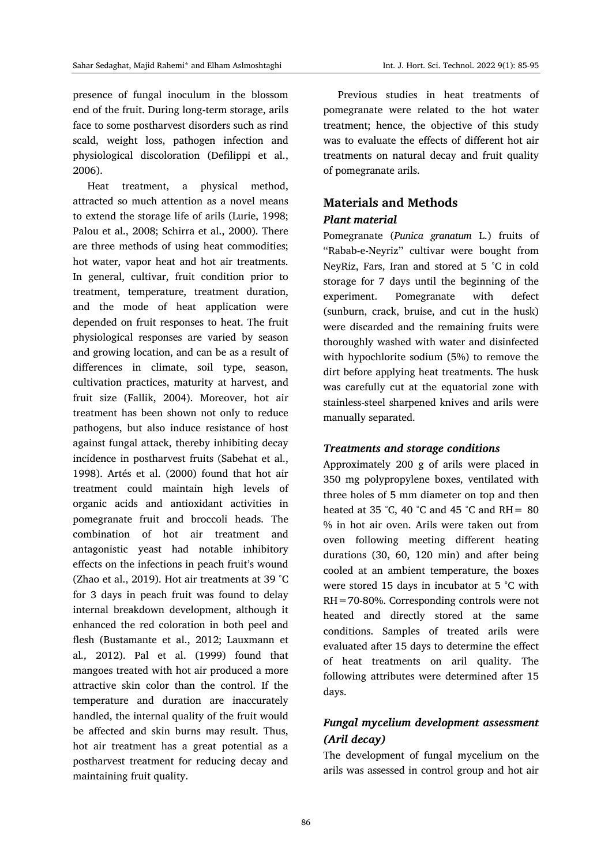presence of fungal inoculum in the blossom end of the fruit. During long-term storage, arils face to some postharvest disorders such as rind scald, weight loss, pathogen infection and physiological discoloration (Defilippi et al., 2006).

Heat treatment, a physical method, attracted so much attention as a novel means to extend the storage life of arils (Lurie, 1998; Palou et al., 2008; Schirra et al., 2000). There are three methods of using heat commodities; hot water, vapor heat and hot air treatments. In general, cultivar, fruit condition prior to treatment, temperature, treatment duration, and the mode of heat application were depended on fruit responses to heat. The fruit physiological responses are varied by season and growing location, and can be as a result of differences in climate, soil type, season, cultivation practices, maturity at harvest, and fruit size (Fallik, 2004). Moreover, hot air treatment has been shown not only to reduce pathogens, but also induce resistance of host against fungal attack, thereby inhibiting decay incidence in postharvest fruits (Sabehat et al., 1998). Artés et al. (2000) found that hot air treatment could maintain high levels of organic acids and antioxidant activities in pomegranate fruit and broccoli heads. The combination of hot air treatment and antagonistic yeast had notable inhibitory effects on the infections in peach fruit's wound (Zhao et al., 2019). Hot air treatments at 39 °C for 3 days in peach fruit was found to delay internal breakdown development, although it enhanced the red coloration in both peel and flesh (Bustamante et al., 2012; Lauxmann et al*.,* 2012). Pal et al. (1999) found that mangoes treated with hot air produced a more attractive skin color than the control. If the temperature and duration are inaccurately handled, the internal quality of the fruit would be affected and skin burns may result. Thus, hot air treatment has a great potential as a postharvest treatment for reducing decay and maintaining fruit quality.

Previous studies in heat treatments of pomegranate were related to the hot water treatment; hence, the objective of this study was to evaluate the effects of different hot air treatments on natural decay and fruit quality of pomegranate arils.

# **Materials and Methods** *Plant material*

Pomegranate (*Punica granatum* L.) fruits of ''Rabab-e-Neyriz'' cultivar were bought from NeyRiz, Fars, Iran and stored at 5 °C in cold storage for 7 days until the beginning of the experiment. Pomegranate with defect (sunburn, crack, bruise, and cut in the husk) were discarded and the remaining fruits were thoroughly washed with water and disinfected with hypochlorite sodium (5%) to remove the dirt before applying heat treatments. The husk was carefully cut at the equatorial zone with stainless-steel sharpened knives and arils were manually separated.

#### *Treatments and storage conditions*

Approximately 200 g of arils were placed in 350 mg polypropylene boxes, ventilated with three holes of 5 mm diameter on top and then heated at 35 °C, 40 °C and 45 °C and RH =  $80$ % in hot air oven. Arils were taken out from oven following meeting different heating durations (30, 60, 120 min) and after being cooled at an ambient temperature, the boxes were stored 15 days in incubator at 5 °C with RH=70-80%. Corresponding controls were not heated and directly stored at the same conditions. Samples of treated arils were evaluated after 15 days to determine the effect of heat treatments on aril quality. The following attributes were determined after 15 days.

# *Fungal mycelium development assessment (Aril decay)*

The development of fungal mycelium on the arils was assessed in control group and hot air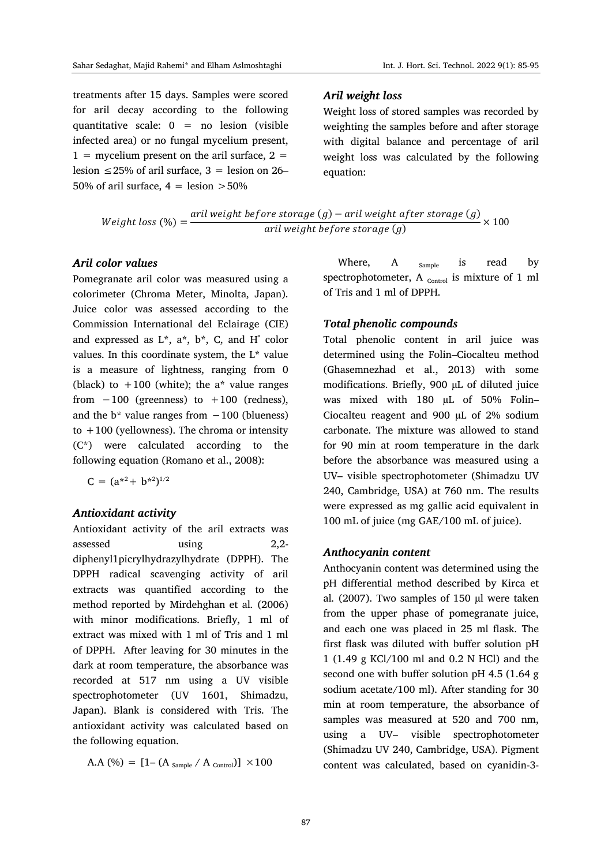treatments after 15 days. Samples were scored for aril decay according to the following quantitative scale: 0 = no lesion (visible infected area) or no fungal mycelium present,  $1 =$  mycelium present on the aril surface,  $2 =$ lesion  $\leq$  25% of aril surface, 3 = lesion on 26– 50% of aril surface,  $4 =$  lesion  $>50\%$ 

#### *Aril weight loss*

Weight loss of stored samples was recorded by weighting the samples before and after storage with digital balance and percentage of aril weight loss was calculated by the following equation:

Weight loss (
$$
\%
$$
) =  $\frac{\text{aril weight before storage}(g) - \text{aril weight after storage}(g)}{\text{aril weight before storage}(g)} \times 100$ 

#### *Aril color values*

Pomegranate aril color was measured using a colorimeter (Chroma Meter, Minolta, Japan). Juice color was assessed according to the Commission International del Eclairage (CIE) and expressed as  $L^*$ ,  $a^*$ ,  $b^*$ , C, and H $\degree$  color values. In this coordinate system, the L\* value is a measure of lightness, ranging from 0 (black) to  $+100$  (white); the a\* value ranges from  $-100$  (greenness) to  $+100$  (redness), and the  $b^*$  value ranges from  $-100$  (blueness) to  $+100$  (yellowness). The chroma or intensity (C\*) were calculated according to the following equation (Romano et al., 2008):

$$
C = (a^{*2} + b^{*2})^{1/2}
$$

#### *Antioxidant activity*

Antioxidant activity of the aril extracts was assessed using 2,2 diphenyl1picrylhydrazylhydrate (DPPH). The DPPH radical scavenging activity of aril extracts was quantified according to the method reported by Mirdehghan et al*.* (2006) with minor modifications. Briefly, 1 ml of extract was mixed with 1 ml of Tris and 1 ml of DPPH. After leaving for 30 minutes in the dark at room temperature, the absorbance was recorded at 517 nm using a UV visible spectrophotometer (UV 1601, Shimadzu, Japan). Blank is considered with Tris. The antioxidant activity was calculated based on the following equation.

A.A (%) = 
$$
[1 - (A_{Sample} / A_{Control})] \times 100
$$

Where, A  $_{\text{sample}}$  is read by spectrophotometer, A  $_{\text{Control}}$  is mixture of 1 ml of Tris and 1 ml of DPPH.

#### *Total phenolic compounds*

Total phenolic content in aril juice was determined using the Folin–Ciocalteu method (Ghasemnezhad et al., 2013) with some modifications. Briefly, 900 µL of diluted juice was mixed with 180 µL of 50% Folin– Ciocalteu reagent and 900 µL of 2% sodium carbonate. The mixture was allowed to stand for 90 min at room temperature in the dark before the absorbance was measured using a UV– visible spectrophotometer (Shimadzu UV 240, Cambridge, USA) at 760 nm. The results were expressed as mg gallic acid equivalent in 100 mL of juice (mg GAE/100 mL of juice).

#### *Anthocyanin content*

Anthocyanin content was determined using the pH differential method described by Kirca et al*.* (2007). Two samples of 150 µl were taken from the upper phase of pomegranate juice, and each one was placed in 25 ml flask. The first flask was diluted with buffer solution pH 1 (1.49 g KCl/100 ml and 0.2 N HCl) and the second one with buffer solution pH 4.5 (1.64 g sodium acetate/100 ml). After standing for 30 min at room temperature, the absorbance of samples was measured at 520 and 700 nm, using a UV– visible spectrophotometer (Shimadzu UV 240, Cambridge, USA). Pigment content was calculated, based on cyanidin-3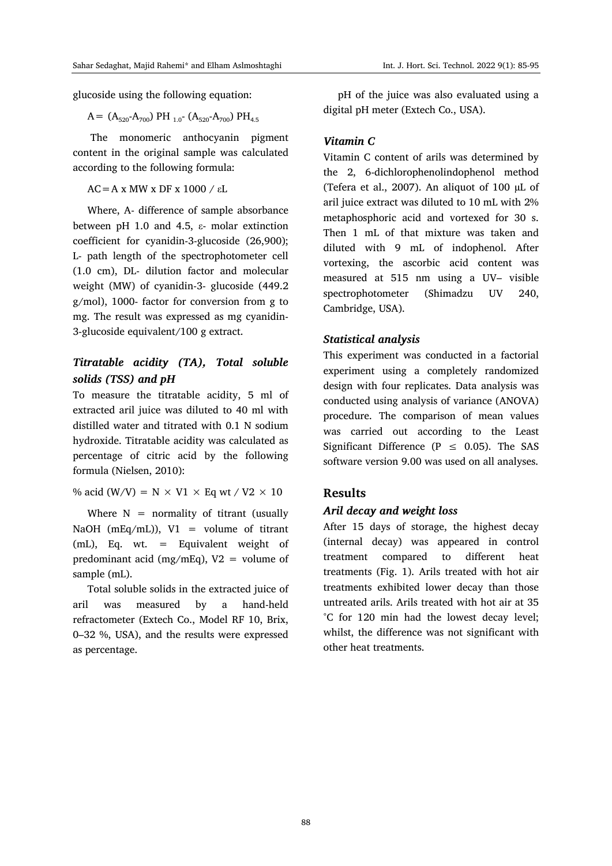glucoside using the following equation:

 $A = (A_{520}-A_{700})$  PH <sub>1.0</sub>-  $(A_{520}-A_{700})$  PH<sub>4.5</sub>

The monomeric anthocyanin pigment content in the original sample was calculated according to the following formula:

 $AC = A x MW x DF x 1000 / E.$ 

Where, A- difference of sample absorbance between pH 1.0 and 4.5, ε- molar extinction coefficient for cyanidin-3-glucoside (26,900); L- path length of the spectrophotometer cell (1.0 cm), DL- dilution factor and molecular weight (MW) of cyanidin-3- glucoside (449.2 g/mol), 1000- factor for conversion from g to mg. The result was expressed as mg cyanidin-3-glucoside equivalent/100 g extract.

# *Titratable acidity (TA), Total soluble solids (TSS) and pH*

To measure the titratable acidity, 5 ml of extracted aril juice was diluted to 40 ml with distilled water and titrated with 0.1 N sodium hydroxide. Titratable acidity was calculated as percentage of citric acid by the following formula (Nielsen, 2010):

% acid (W/V) = N  $\times$  V1  $\times$  Eq wt / V2  $\times$  10

Where  $N =$  normality of titrant (usually NaOH ( $mEq/mL$ )), V1 = volume of titrant (mL), Eq. wt. = Equivalent weight of predominant acid (mg/mEq),  $V2 =$  volume of sample (mL).

Total soluble solids in the extracted juice of aril was measured by a hand-held refractometer (Extech Co., Model RF 10, Brix, 0–32 %, USA), and the results were expressed as percentage.

pH of the juice was also evaluated using a digital pH meter (Extech Co., USA).

#### *Vitamin C*

Vitamin C content of arils was determined by the 2, 6-dichlorophenolindophenol method (Tefera et al., 2007). An aliquot of 100 µL of aril juice extract was diluted to 10 mL with 2% metaphosphoric acid and vortexed for 30 s. Then 1 mL of that mixture was taken and diluted with 9 mL of indophenol. After vortexing, the ascorbic acid content was measured at 515 nm using a UV– visible spectrophotometer (Shimadzu UV 240, Cambridge, USA).

#### *Statistical analysis*

This experiment was conducted in a factorial experiment using a completely randomized design with four replicates. Data analysis was conducted using analysis of variance (ANOVA) procedure. The comparison of mean values was carried out according to the Least Significant Difference ( $P \leq 0.05$ ). The SAS software version 9.00 was used on all analyses.

#### **Results**

#### *Aril decay and weight loss*

After 15 days of storage, the highest decay (internal decay) was appeared in control treatment compared to different heat treatments (Fig. 1). Arils treated with hot air treatments exhibited lower decay than those untreated arils. Arils treated with hot air at 35 °C for 120 min had the lowest decay level; whilst, the difference was not significant with other heat treatments.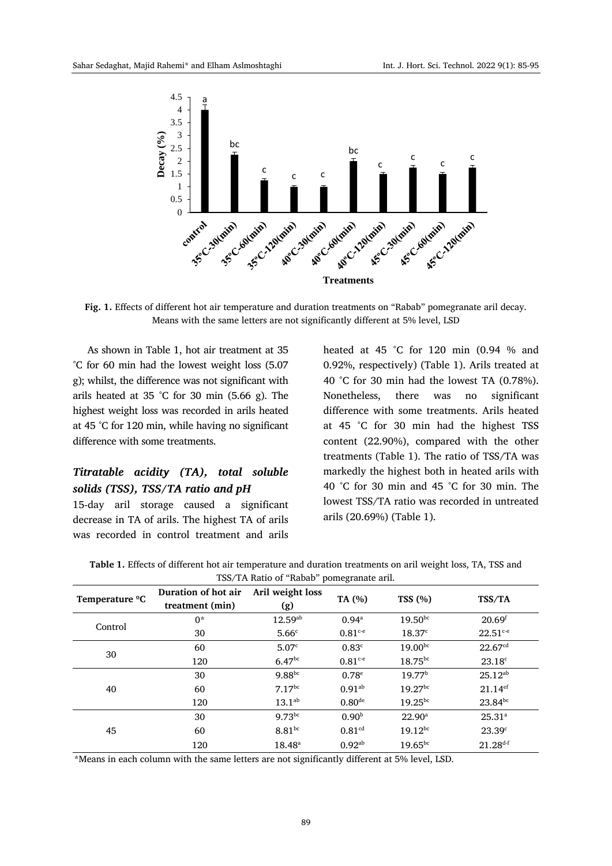

**Fig. 1.** Effects of different hot air temperature and duration treatments on "Rabab" pomegranate aril decay. Means with the same letters are not significantly different at 5% level, LSD

As shown in Table 1, hot air treatment at 35 °C for 60 min had the lowest weight loss (5.07 g); whilst, the difference was not significant with arils heated at 35 °C for 30 min (5.66 g). The highest weight loss was recorded in arils heated at 45 °C for 120 min, while having no significant difference with some treatments.

# *Titratable acidity (TA), total soluble solids (TSS), TSS/TA ratio and pH*

15-day aril storage caused a significant decrease in TA of arils. The highest TA of arils was recorded in control treatment and arils

heated at 45 °C for 120 min (0.94 % and 0.92%, respectively) (Table 1). Arils treated at 40 °C for 30 min had the lowest TA (0.78%). Nonetheless, there was no significant difference with some treatments. Arils heated at 45 °C for 30 min had the highest TSS content (22.90%), compared with the other treatments (Table 1). The ratio of TSS/TA was markedly the highest both in heated arils with 40 °C for 30 min and 45 °C for 30 min. The lowest TSS/TA ratio was recorded in untreated arils (20.69%) (Table 1).

| <b>Table 1.</b> Effects of different hot air temperature and duration treatments on aril weight loss, TA, TSS and |  |
|-------------------------------------------------------------------------------------------------------------------|--|
| TSS/TA Ratio of "Rabab" pomegranate aril.                                                                         |  |

| Temperature <sup>o</sup> C | Duration of hot air<br>treatment (min) | Aril weight loss<br>(g) | .<br>TA (%)           | TSS(%)             | TSS/TA                |
|----------------------------|----------------------------------------|-------------------------|-----------------------|--------------------|-----------------------|
| Control                    | $0^*$                                  | $12.59^{ab}$            | 0.94 <sup>a</sup>     | $19.50^{bc}$       | 20.69 <sup>f</sup>    |
|                            | 30                                     | 5.66 <sup>c</sup>       | $0.81c-e}$            | 18.37 <sup>c</sup> | $22.51^{\text{c-e}}$  |
| 30                         | 60                                     | 5.07 <sup>c</sup>       | 0.83 <sup>c</sup>     | $19.00^{bc}$       | 22.67 <sup>cd</sup>   |
|                            | 120                                    | 6.47 <sup>bc</sup>      | $0.81$ <sup>c-e</sup> | $18.75^{bc}$       | $23.18^c$             |
| 40                         | 30                                     | $9.88^{bc}$             | $0.78^{\circ}$        | 19.77 <sup>b</sup> | $25.12^{ab}$          |
|                            | 60                                     | $7.17^{bc}$             | $0.91^{ab}$           | $19.27^{bc}$       | $21.14$ <sup>ef</sup> |
|                            | 120                                    | $13.1^{ab}$             | 0.80 <sup>de</sup>    | $19.25^{bc}$       | $23.84^{bc}$          |
| 45                         | 30                                     | $9.73^{bc}$             | 0.90 <sup>b</sup>     | $22.90^{\circ}$    | $25.31^{a}$           |
|                            | 60                                     | $8.81^{bc}$             | 0.81 <sup>cd</sup>    | $19.12^{bc}$       | 23.39 <sup>c</sup>    |
|                            | 120                                    | $18.48^{\circ}$         | $0.92^{ab}$           | $19.65^{bc}$       | $21.28^{d-f}$         |

\*Means in each column with the same letters are not significantly different at 5% level, LSD.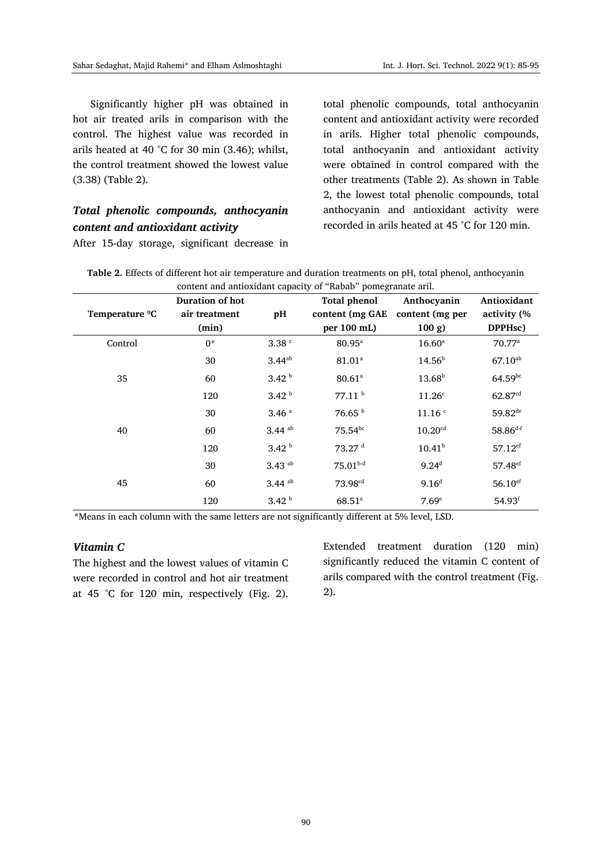Significantly higher pH was obtained in hot air treated arils in comparison with the control. The highest value was recorded in arils heated at 40 °C for 30 min (3.46); whilst, the control treatment showed the lowest value (3.38) (Table 2).

# *Total phenolic compounds, anthocyanin content and antioxidant activity*

After 15-day storage, significant decrease in

total phenolic compounds, total anthocyanin content and antioxidant activity were recorded in arils. Higher total phenolic compounds, total anthocyanin and antioxidant activity were obtained in control compared with the other treatments (Table 2). As shown in Table 2, the lowest total phenolic compounds, total anthocyanin and antioxidant activity were recorded in arils heated at 45 °C for 120 min.

| Table 2. Effects of different hot air temperature and duration treatments on pH, total phenol, anthocyanin |
|------------------------------------------------------------------------------------------------------------|
| content and antioxidant capacity of "Rabab" pomegranate aril.                                              |

|                            | Duration of hot |                      | <b>Total phenol</b>  | Anthocyanin           | Antioxidant           |
|----------------------------|-----------------|----------------------|----------------------|-----------------------|-----------------------|
| Temperature <sup>o</sup> C | air treatment   | pH                   | content (mg GAE      | content (mg per       | activity (%           |
|                            | (min)           |                      | per 100 mL)          | $100 g$ )             | DPPHsc)               |
| Control                    | $0^*$           | 3.38 <sup>c</sup>    | $80.95^{\mathrm{a}}$ | $16.60^{\rm a}$       | $70.77^{\rm a}$       |
|                            | 30              | $3.44^{ab}$          | 81.01 <sup>a</sup>   | $14.56^{b}$           | $67.10^{ab}$          |
| 35                         | 60              | 3.42 <sup>b</sup>    | $80.61$ <sup>a</sup> | $13.68^{b}$           | $64.59^{bc}$          |
|                            | 120             | 3.42 <sup>b</sup>    | 77.11 <sup>b</sup>   | 11.26 <sup>c</sup>    | 62.87 <sup>cd</sup>   |
| 40                         | 30              | 3.46 <sup>a</sup>    | 76.65 <sup>b</sup>   | 11.16 <sup>c</sup>    | $59.82^{de}$          |
|                            | 60              | $3.44$ ab            | $75.54^{bc}$         | $10.20$ <sup>cd</sup> | $58.86^{d-f}$         |
|                            | 120             | 3.42 <sup>b</sup>    | 73.27 <sup>d</sup>   | $10.41^{b}$           | $57.12$ <sup>ef</sup> |
| 45                         | 30              | $3.43$ <sup>ab</sup> | $75.01b-d$           | $9.24^{d}$            | 57.48 <sup>ef</sup>   |
|                            | 60              | $3.44$ <sup>ab</sup> | 73.98 <sup>cd</sup>  | 9.16 <sup>d</sup>     | $56.10$ <sup>ef</sup> |
|                            | 120             | 3.42 <sup>b</sup>    | $68.51$ <sup>e</sup> | 7.69 <sup>e</sup>     | $54.93$ <sup>f</sup>  |

**\***Means in each column with the same letters are not significantly different at 5% level, LSD.

### *Vitamin C*

The highest and the lowest values of vitamin C were recorded in control and hot air treatment at 45 °C for 120 min, respectively (Fig. 2). Extended treatment duration (120 min) significantly reduced the vitamin C content of arils compared with the control treatment (Fig. 2).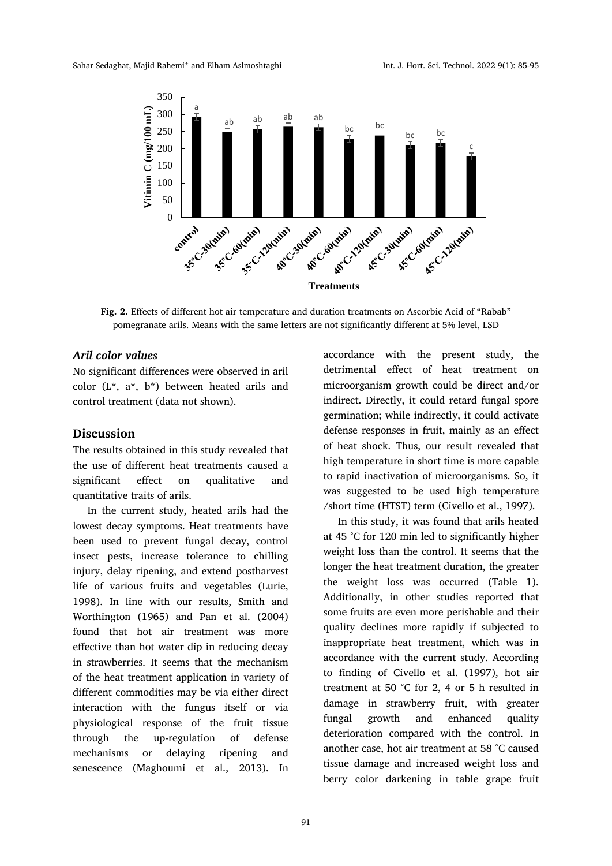

**Fig. 2.** Effects of different hot air temperature and duration treatments on Ascorbic Acid of "Rabab" pomegranate arils. Means with the same letters are not significantly different at 5% level, LSD

#### *Aril color values*

No significant differences were observed in aril color (L\*, a\*, b\*) between heated arils and control treatment (data not shown).

#### **Discussion**

The results obtained in this study revealed that the use of different heat treatments caused a significant effect on qualitative and quantitative traits of arils.

In the current study, heated arils had the lowest decay symptoms. Heat treatments have been used to prevent fungal decay, control insect pests, increase tolerance to chilling injury, delay ripening, and extend postharvest life of various fruits and vegetables (Lurie, 1998). In line with our results, Smith and Worthington (1965) and Pan et al. (2004) found that hot air treatment was more effective than hot water dip in reducing decay in strawberries. It seems that the mechanism of the heat treatment application in variety of different commodities may be via either direct interaction with the fungus itself or via physiological response of the fruit tissue through the up-regulation of defense mechanisms or delaying ripening and senescence (Maghoumi et al., 2013). In accordance with the present study, the detrimental effect of heat treatment on microorganism growth could be direct and/or indirect. Directly, it could retard fungal spore germination; while indirectly, it could activate defense responses in fruit, mainly as an effect of heat shock. Thus, our result revealed that high temperature in short time is more capable to rapid inactivation of microorganisms. So, it was suggested to be used high temperature /short time (HTST) term (Civello et al., 1997).

In this study, it was found that arils heated at 45 °C for 120 min led to significantly higher weight loss than the control. It seems that the longer the heat treatment duration, the greater the weight loss was occurred (Table 1). Additionally, in other studies reported that some fruits are even more perishable and their quality declines more rapidly if subjected to inappropriate heat treatment, which was in accordance with the current study. According to finding of Civello et al. (1997), hot air treatment at 50 °C for 2, 4 or 5 h resulted in damage in strawberry fruit, with greater fungal growth and enhanced quality deterioration compared with the control. In another case, hot air treatment at 58 °C caused tissue damage and increased weight loss and berry color darkening in table grape fruit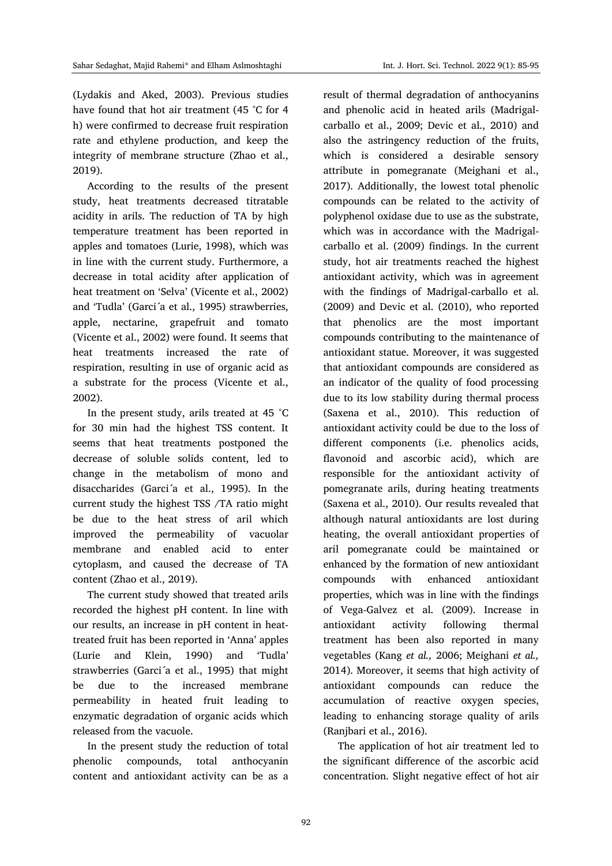(Lydakis and Aked, 2003). Previous studies have found that hot air treatment (45 °C for 4 h) were confirmed to decrease fruit respiration rate and ethylene production, and keep the integrity of membrane structure (Zhao et al., 2019).

According to the results of the present study, heat treatments decreased titratable acidity in arils. The reduction of TA by high temperature treatment has been reported in apples and tomatoes (Lurie, 1998), which was in line with the current study. Furthermore, a decrease in total acidity after application of heat treatment on 'Selva' (Vicente et al., 2002) and 'Tudla' (Garci´a et al., 1995) strawberries, apple, nectarine, grapefruit and tomato (Vicente et al., 2002) were found. It seems that heat treatments increased the rate of respiration, resulting in use of organic acid as a substrate for the process (Vicente et al., 2002).

In the present study, arils treated at 45 °C for 30 min had the highest TSS content. It seems that heat treatments postponed the decrease of soluble solids content, led to change in the metabolism of mono and disaccharides (Garci´a et al., 1995). In the current study the highest TSS /TA ratio might be due to the heat stress of aril which improved the permeability of vacuolar membrane and enabled acid to enter cytoplasm, and caused the decrease of TA content (Zhao et al., 2019).

The current study showed that treated arils recorded the highest pH content. In line with our results, an increase in pH content in heattreated fruit has been reported in 'Anna' apples (Lurie and Klein, 1990) and 'Tudla' strawberries (Garci´a et al., 1995) that might be due to the increased membrane permeability in heated fruit leading to enzymatic degradation of organic acids which released from the vacuole.

In the present study the reduction of total phenolic compounds, total anthocyanin content and antioxidant activity can be as a result of thermal degradation of anthocyanins and phenolic acid in heated arils (Madrigalcarballo et al., 2009; Devic et al., 2010) and also the astringency reduction of the fruits, which is considered a desirable sensory attribute in pomegranate (Meighani et al., 2017). Additionally, the lowest total phenolic compounds can be related to the activity of polyphenol oxidase due to use as the substrate, which was in accordance with the Madrigalcarballo et al. (2009) findings. In the current study, hot air treatments reached the highest antioxidant activity, which was in agreement with the findings of Madrigal-carballo et al. (2009) and Devic et al. (2010), who reported that phenolics are the most important compounds contributing to the maintenance of antioxidant statue. Moreover, it was suggested that antioxidant compounds are considered as an indicator of the quality of food processing due to its low stability during thermal process (Saxena et al., 2010). This reduction of antioxidant activity could be due to the loss of different components (i.e. phenolics acids, flavonoid and ascorbic acid), which are responsible for the antioxidant activity of pomegranate arils, during heating treatments (Saxena et al., 2010). Our results revealed that although natural antioxidants are lost during heating, the overall antioxidant properties of aril pomegranate could be maintained or enhanced by the formation of new antioxidant compounds with enhanced antioxidant properties, which was in line with the findings of Vega-Galvez et al. (2009). Increase in antioxidant activity following thermal treatment has been also reported in many vegetables (Kang *et al.,* 2006; Meighani *et al.,* 2014). Moreover, it seems that high activity of antioxidant compounds can reduce the accumulation of reactive oxygen species, leading to enhancing storage quality of arils (Ranjbari et al., 2016).

The application of hot air treatment led to the significant difference of the ascorbic acid concentration. Slight negative effect of hot air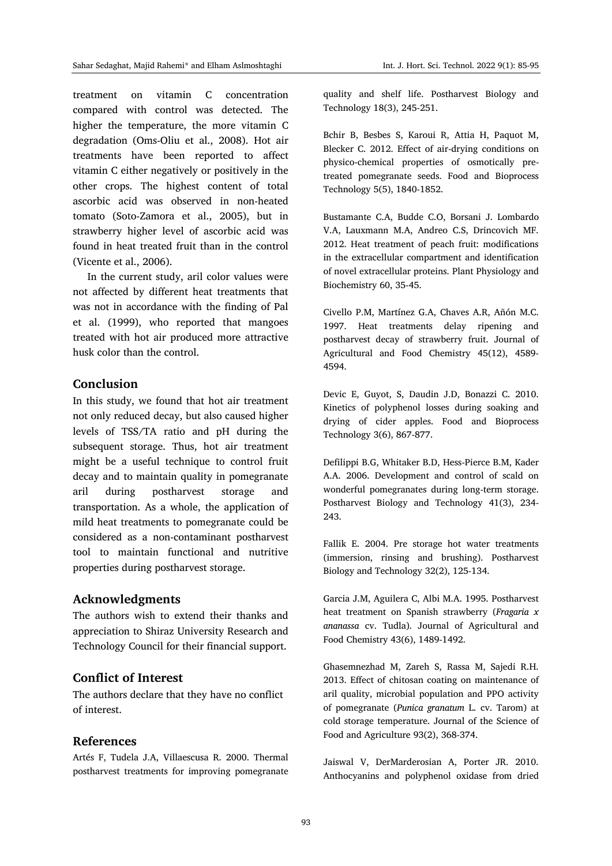treatment on vitamin C concentration compared with control was detected. The higher the temperature, the more vitamin C degradation (Oms-Oliu et al., 2008). Hot air treatments have been reported to affect vitamin C either negatively or positively in the other crops. The highest content of total ascorbic acid was observed in non-heated tomato (Soto-Zamora et al., 2005), but in strawberry higher level of ascorbic acid was found in heat treated fruit than in the control (Vicente et al., 2006).

In the current study, aril color values were not affected by different heat treatments that was not in accordance with the finding of Pal et al. (1999), who reported that mangoes treated with hot air produced more attractive husk color than the control.

#### **Conclusion**

In this study, we found that hot air treatment not only reduced decay, but also caused higher levels of TSS/TA ratio and pH during the subsequent storage. Thus, hot air treatment might be a useful technique to control fruit decay and to maintain quality in pomegranate aril during postharvest storage and transportation. As a whole, the application of mild heat treatments to pomegranate could be considered as a non-contaminant postharvest tool to maintain functional and nutritive properties during postharvest storage.

#### **Acknowledgments**

The authors wish to extend their thanks and appreciation to Shiraz University Research and Technology Council for their financial support.

#### **Conflict of Interest**

The authors declare that they have no conflict of interest.

#### **References**

Artés F, Tudela J.A, Villaescusa R. 2000. Thermal postharvest treatments for improving pomegranate quality and shelf life. Postharvest Biology and Technology 18(3), 245-251.

Bchir B, Besbes S, Karoui R, Attia H, Paquot M, Blecker C. 2012. Effect of air-drying conditions on physico-chemical properties of osmotically pretreated pomegranate seeds. Food and Bioprocess Technology 5(5), 1840-1852.

Bustamante C.A, Budde C.O, Borsani J. Lombardo V.A, Lauxmann M.A, Andreo C.S, Drincovich MF. 2012. Heat treatment of peach fruit: modifications in the extracellular compartment and identification of novel extracellular proteins. Plant Physiology and Biochemistry 60, 35-45.

Civello P.M, Martínez G.A, Chaves A.R, Añón M.C. 1997. Heat treatments delay ripening and postharvest decay of strawberry fruit. Journal of Agricultural and Food Chemistry 45(12), 4589- 4594.

Devic E, Guyot, S, Daudin J.D, Bonazzi C. 2010. Kinetics of polyphenol losses during soaking and drying of cider apples. Food and Bioprocess Technology 3(6), 867-877.

Defilippi B.G, Whitaker B.D, Hess-Pierce B.M, Kader A.A. 2006. Development and control of scald on wonderful pomegranates during long-term storage. Postharvest Biology and Technology 41(3), 234- 243.

Fallik E. 2004. Pre storage hot water treatments (immersion, rinsing and brushing). Postharvest Biology and Technology 32(2), 125-134.

Garcia J.M, Aguilera C, Albi M.A. 1995. Postharvest heat treatment on Spanish strawberry (*Fragaria x ananassa* cv. Tudla). Journal of Agricultural and Food Chemistry 43(6), 1489-1492.

Ghasemnezhad M, Zareh S, Rassa M, Sajedi R.H. 2013. Effect of chitosan coating on maintenance of aril quality, microbial population and PPO activity of pomegranate (*Punica granatum* L. cv. Tarom) at cold storage temperature. Journal of the Science of Food and Agriculture 93(2), 368-374.

Jaiswal V, DerMarderosian A, Porter JR. 2010. Anthocyanins and polyphenol oxidase from dried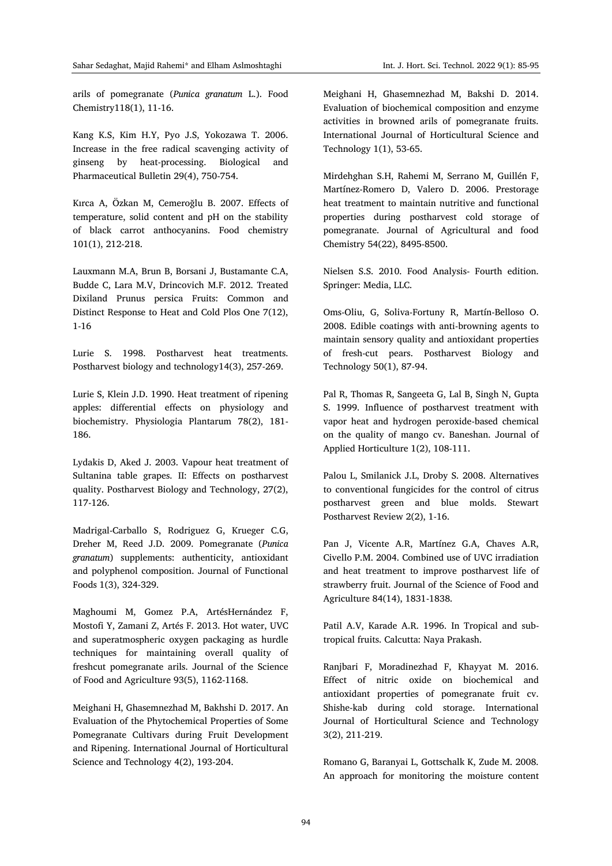arils of pomegranate (*Punica granatum* L.). Food Chemistry118(1), 11-16.

Kang K.S, Kim H.Y, Pyo J.S, Yokozawa T. 2006. Increase in the free radical scavenging activity of ginseng by heat-processing. Biological and Pharmaceutical Bulletin 29(4), 750-754.

Kırca A, Özkan M, Cemeroğlu B. 2007. Effects of temperature, solid content and pH on the stability of black carrot anthocyanins. Food chemistry 101(1), 212-218.

Lauxmann M.A, Brun B, Borsani J, Bustamante C.A, Budde C, Lara M.V, Drincovich M.F. 2012. Treated Dixiland Prunus persica Fruits: Common and Distinct Response to Heat and Cold Plos One 7(12), 1-16

Lurie S. 1998. Postharvest heat treatments. Postharvest biology and technology14(3), 257-269.

Lurie S, Klein J.D. 1990. Heat treatment of ripening apples: differential effects on physiology and biochemistry. Physiologia Plantarum 78(2), 181- 186.

Lydakis D, Aked J. 2003. Vapour heat treatment of Sultanina table grapes. II: Effects on postharvest quality. Postharvest Biology and Technology, 27(2), 117-126.

Madrigal-Carballo S, Rodriguez G, Krueger C.G, Dreher M, Reed J.D. 2009. Pomegranate (*Punica granatum*) supplements: authenticity, antioxidant and polyphenol composition. Journal of Functional Foods 1(3), 324-329.

Maghoumi M, Gomez P.A, ArtésHernández F, Mostofi Y, Zamani Z, Artés F. 2013. Hot water, UVC and superatmospheric oxygen packaging as hurdle techniques for maintaining overall quality of freshcut pomegranate arils. Journal of the Science of Food and Agriculture 93(5), 1162-1168.

Meighani H, Ghasemnezhad M, Bakhshi D. 2017. An Evaluation of the Phytochemical Properties of Some Pomegranate Cultivars during Fruit Development and Ripening. International Journal of Horticultural Science and Technology 4(2), 193-204.

Meighani H, Ghasemnezhad M, Bakshi D. 2014. Evaluation of biochemical composition and enzyme activities in browned arils of pomegranate fruits. International Journal of Horticultural Science and Technology 1(1), 53-65.

Mirdehghan S.H, Rahemi M, Serrano M, Guillén F, Martínez-Romero D, Valero D. 2006. Prestorage heat treatment to maintain nutritive and functional properties during postharvest cold storage of pomegranate. Journal of Agricultural and food Chemistry 54(22), 8495-8500.

Nielsen S.S. 2010. Food Analysis- Fourth edition. Springer: Media, LLC.

Oms-Oliu, G, Soliva-Fortuny R, Martín-Belloso O. 2008. Edible coatings with anti-browning agents to maintain sensory quality and antioxidant properties of fresh-cut pears. Postharvest Biology and Technology 50(1), 87-94.

Pal R, Thomas R, Sangeeta G, Lal B, Singh N, Gupta S. 1999. Influence of postharvest treatment with vapor heat and hydrogen peroxide-based chemical on the quality of mango cv. Baneshan. Journal of Applied Horticulture 1(2), 108-111.

Palou L, Smilanick J.L, Droby S. 2008. Alternatives to conventional fungicides for the control of citrus postharvest green and blue molds. Stewart Postharvest Review 2(2), 1-16.

Pan J, Vicente A.R, Martínez G.A, Chaves A.R, Civello P.M. 2004. Combined use of UVC irradiation and heat treatment to improve postharvest life of strawberry fruit. Journal of the Science of Food and Agriculture 84(14), 1831-1838.

Patil A.V, Karade A.R. 1996. In Tropical and subtropical fruits. Calcutta: Naya Prakash.

Ranjbari F, Moradinezhad F, Khayyat M. 2016. Effect of nitric oxide on biochemical and antioxidant properties of pomegranate fruit cv. Shishe-kab during cold storage. International Journal of Horticultural Science and Technology 3(2), 211-219.

Romano G, Baranyai L, Gottschalk K, Zude M. 2008. An approach for monitoring the moisture content